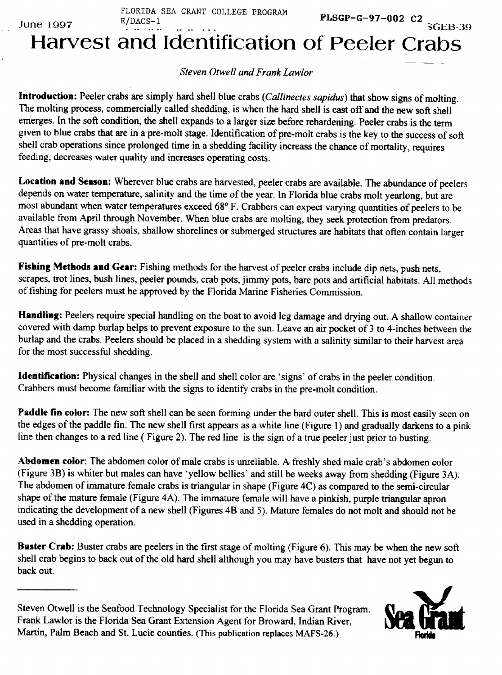$J$ une 1997  $\frac{GEB}{2}$  3GEB

FLORIDA SEA GRANT COLLEGE PROGRAM E/DACS-1 E-1 CENTRE COMPLETE TROUGHER FLSGP-G-97-002 C2

Harvest and Identification of Peeler Crab

## Steven Otwell and Frank Lawlor

Introduction: Peeler crabs are simply hard shell blue crabs (Callinectes sapidus) that show signs of molting. The molting process, commercially called shedding, is when the hard shell is cast off and the new soft shell emerges. In the soft condition, the shell expands to a larger size before rehardening. Peeler crabs is the term given to blue crabs that are in a pre-molt stage, Identification of pre-molt crabs is the key to the success of soft shell crab operations since prolonged time in a shedding facility increass the chance of mortality, requires feeding, decreases water quality and increases operating costs,

**Locution** and **Season:** Wherever blue crabs are harvested, peeler crabs are available. The abundance of peelers depends on water temperature, salinity and the time of the year, In Florida blue crabs molt yearlong, but are most abundant when water temperatures exceed 68° F. Crabbers can expect varying quantities of peelers to be available from April through November, When blue crabs are molting, they seek protection from predators. Areas that have grassy shoals, shallow shorelines or submerged structures are habitats that often contain larger quantities of pre-molt crabs.

**Fishing Methods and Gear:** Fishing methods for the harvest of peeler crabs include dip nets, push nets, scrapes, trot lines, bush lines, peeler pounds, crab pots, jimmy pots, bare pots and artificial habitats, All methods of fishing for peelers must be approved by the Florida Marine Fisheries Commission.

Handling: Peelers require special handling on the boat to avoid leg damage and drying out. A shallow container covered with damp burlap helps to prevent exposure to the sun. Leave an air pocket of 3 to 4-inches between the burlap and the crabs. Peelers should be placed in a shedding system with a salinity similar to their harvest area for the most successful shedding,

Identification: Physical changes in the shell and shell color are 'signs' of crabs in the peeler condition. Crabbers must become familiar with the signs to identify crabs in the pre-molt condition.

**Paddle fin** color: The new soft shell can be seen forming under the hard outer shell. This is most easily seen on the edges of the paddle fin. The new shell first appears as a white line (Figure 1) and gradually darkens to a pink line then changes to a red line (Figure 2). The red line is the sign of a true peeler just prior to busting.

Abdomen color: The abdomen color of male crabs is unreliable. A freshly shed male crab's abdomen color (Figure 3B) is whiter but males can have 'yellow bellies' and still be weeks away from shedding (Figure 3A). The abdomen of immature female crabs is triangular in shape (Figure 4C) as compared to the semi-circular shape of the mature female (Figure 4A). The immature female will have a pinkish, purple triangular apron indicating the development of a new shell (Figures 4B and 5). Mature females do not molt and should not be used in a shedding operation.

**Buster Crab:** Buster crabs are peelers in the first stage of molting (Figure 6). This may be when the new soft shell crab begins to back out of the old hard shell although you may have busters that have not yet begun to back out.

Steven Otwell is the Seafood Technology Specialist for the Florida Sea Grant Program. Frank Lawlor is the Florida Sea Grant Extension Agent for Broward, Indian River, Martin, Palm Beach and St. Lucie counties. (This publication replaces MAFS-26.)